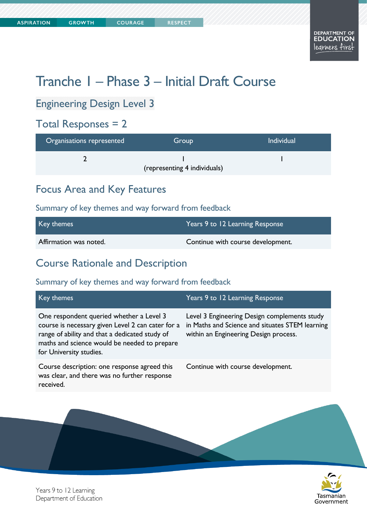**COURAGE** 

# Tranche 1 – Phase 3 – Initial Draft Course

# Engineering Design Level 3

### Total Responses = 2

| Organisations represented | Group                        | <b>Individual</b> |
|---------------------------|------------------------------|-------------------|
|                           | (representing 4 individuals) |                   |

# Focus Area and Key Features

Summary of key themes and way forward from feedback

| Key themes             | Years 9 to 12 Learning Response   |
|------------------------|-----------------------------------|
| Affirmation was noted. | Continue with course development. |

#### Course Rationale and Description

#### Summary of key themes and way forward from feedback

| Key themes                                                                                                                                                                                                                 | Years 9 to 12 Learning Response                                                                                                          |
|----------------------------------------------------------------------------------------------------------------------------------------------------------------------------------------------------------------------------|------------------------------------------------------------------------------------------------------------------------------------------|
| One respondent queried whether a Level 3<br>course is necessary given Level 2 can cater for a<br>range of ability and that a dedicated study of<br>maths and science would be needed to prepare<br>for University studies. | Level 3 Engineering Design complements study<br>in Maths and Science and situates STEM learning<br>within an Engineering Design process. |
| Course description: one response agreed this<br>was clear, and there was no further response<br>received.                                                                                                                  | Continue with course development.                                                                                                        |



Years 9 to 12 Learning Department of Education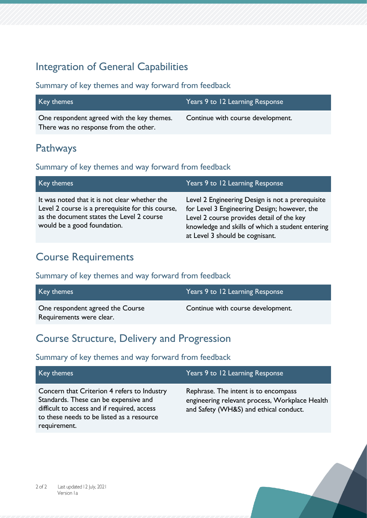### Integration of General Capabilities

#### Summary of key themes and way forward from feedback

| Key themes                                                                          | Years 9 to 12 Learning Response   |
|-------------------------------------------------------------------------------------|-----------------------------------|
| One respondent agreed with the key themes.<br>There was no response from the other. | Continue with course development. |

# Pathways

#### Summary of key themes and way forward from feedback

| Key themes                                                                                                                                                                     | Years 9 to 12 Learning Response                                                                                                                                                                                                      |
|--------------------------------------------------------------------------------------------------------------------------------------------------------------------------------|--------------------------------------------------------------------------------------------------------------------------------------------------------------------------------------------------------------------------------------|
| It was noted that it is not clear whether the<br>Level 2 course is a prerequisite for this course,<br>as the document states the Level 2 course<br>would be a good foundation. | Level 2 Engineering Design is not a prerequisite<br>for Level 3 Engineering Design; however, the<br>Level 2 course provides detail of the key<br>knowledge and skills of which a student entering<br>at Level 3 should be cognisant. |

# Course Requirements

#### Summary of key themes and way forward from feedback

| Key themes                                                   | Years 9 to 12 Learning Response   |
|--------------------------------------------------------------|-----------------------------------|
| One respondent agreed the Course<br>Requirements were clear. | Continue with course development. |

# Course Structure, Delivery and Progression

#### Summary of key themes and way forward from feedback

| Key themes                                                                                                                                                                                       | Years 9 to 12 Learning Response                                                                                                  |
|--------------------------------------------------------------------------------------------------------------------------------------------------------------------------------------------------|----------------------------------------------------------------------------------------------------------------------------------|
| Concern that Criterion 4 refers to Industry<br>Standards. These can be expensive and<br>difficult to access and if required, access<br>to these needs to be listed as a resource<br>requirement. | Rephrase. The intent is to encompass<br>engineering relevant process, Workplace Health<br>and Safety (WH&S) and ethical conduct. |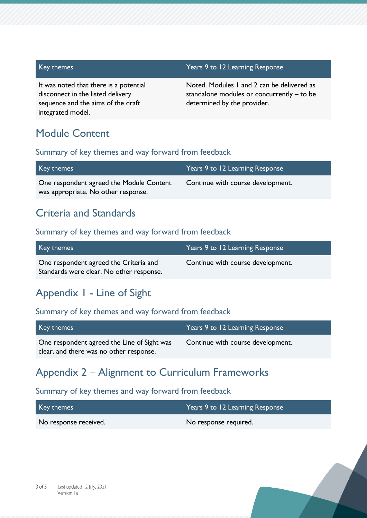|  | Key themes |
|--|------------|
|--|------------|

It was noted that there is a potential disconnect in the listed delivery sequence and the aims of the draft integrated model.

#### Years 9 to 12 Learning Response

Noted. Modules 1 and 2 can be delivered as standalone modules or concurrently – to be determined by the provider.

#### Module Content

#### Summary of key themes and way forward from feedback

| Key themes                               | Years 9 to 12 Learning Response   |
|------------------------------------------|-----------------------------------|
| One respondent agreed the Module Content | Continue with course development. |
| was appropriate. No other response.      |                                   |

#### Criteria and Standards

#### Summary of key themes and way forward from feedback

| Key themes                               | Years 9 to 12 Learning Response   |
|------------------------------------------|-----------------------------------|
| One respondent agreed the Criteria and   | Continue with course development. |
| Standards were clear. No other response. |                                   |

### Appendix 1 - Line of Sight

#### Summary of key themes and way forward from feedback

| Key themes                                  | Years 9 to 12 Learning Response   |
|---------------------------------------------|-----------------------------------|
| One respondent agreed the Line of Sight was | Continue with course development. |
| clear, and there was no other response.     |                                   |

### Appendix 2 – Alignment to Curriculum Frameworks

#### Summary of key themes and way forward from feedback

| Key themes            | Years 9 to 12 Learning Response |
|-----------------------|---------------------------------|
| No response received. | No response required.           |